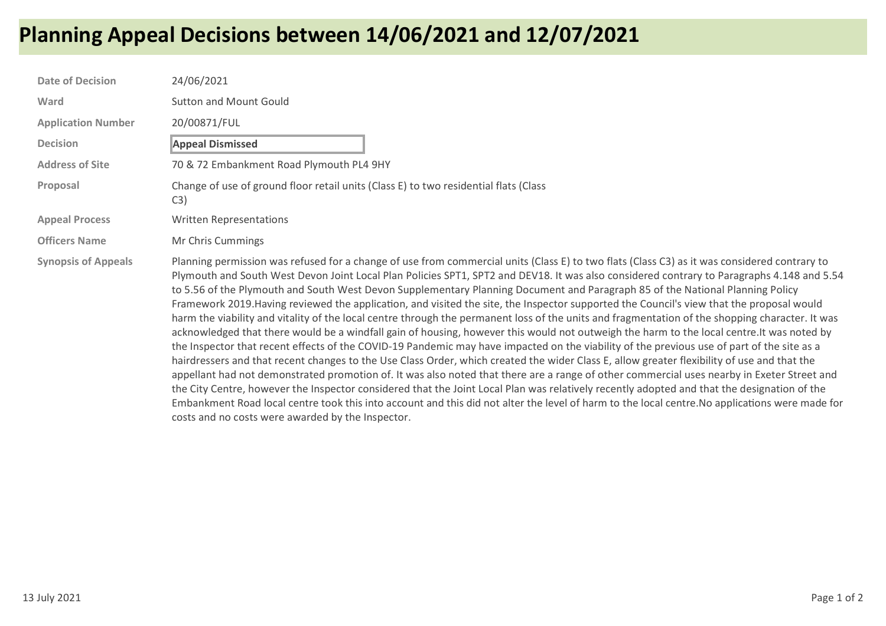## Planning Appeal Decisions between 14/06/2021 and 12/07/2021

| <b>Date of Decision</b>    | 24/06/2021                                                                                                                                                                                                                                                                                                                                                                                                                                                                                                                                                                                                                                                                                                                                                                                                                                                                                                                                                                                                                                                                                                                                                                                                                                                                                                                                                                                                                                                                                                                                                                                                                                                                  |
|----------------------------|-----------------------------------------------------------------------------------------------------------------------------------------------------------------------------------------------------------------------------------------------------------------------------------------------------------------------------------------------------------------------------------------------------------------------------------------------------------------------------------------------------------------------------------------------------------------------------------------------------------------------------------------------------------------------------------------------------------------------------------------------------------------------------------------------------------------------------------------------------------------------------------------------------------------------------------------------------------------------------------------------------------------------------------------------------------------------------------------------------------------------------------------------------------------------------------------------------------------------------------------------------------------------------------------------------------------------------------------------------------------------------------------------------------------------------------------------------------------------------------------------------------------------------------------------------------------------------------------------------------------------------------------------------------------------------|
| Ward                       | <b>Sutton and Mount Gould</b>                                                                                                                                                                                                                                                                                                                                                                                                                                                                                                                                                                                                                                                                                                                                                                                                                                                                                                                                                                                                                                                                                                                                                                                                                                                                                                                                                                                                                                                                                                                                                                                                                                               |
| <b>Application Number</b>  | 20/00871/FUL                                                                                                                                                                                                                                                                                                                                                                                                                                                                                                                                                                                                                                                                                                                                                                                                                                                                                                                                                                                                                                                                                                                                                                                                                                                                                                                                                                                                                                                                                                                                                                                                                                                                |
| <b>Decision</b>            | <b>Appeal Dismissed</b>                                                                                                                                                                                                                                                                                                                                                                                                                                                                                                                                                                                                                                                                                                                                                                                                                                                                                                                                                                                                                                                                                                                                                                                                                                                                                                                                                                                                                                                                                                                                                                                                                                                     |
| <b>Address of Site</b>     | 70 & 72 Embankment Road Plymouth PL4 9HY                                                                                                                                                                                                                                                                                                                                                                                                                                                                                                                                                                                                                                                                                                                                                                                                                                                                                                                                                                                                                                                                                                                                                                                                                                                                                                                                                                                                                                                                                                                                                                                                                                    |
| Proposal                   | Change of use of ground floor retail units (Class E) to two residential flats (Class<br>C3)                                                                                                                                                                                                                                                                                                                                                                                                                                                                                                                                                                                                                                                                                                                                                                                                                                                                                                                                                                                                                                                                                                                                                                                                                                                                                                                                                                                                                                                                                                                                                                                 |
| <b>Appeal Process</b>      | <b>Written Representations</b>                                                                                                                                                                                                                                                                                                                                                                                                                                                                                                                                                                                                                                                                                                                                                                                                                                                                                                                                                                                                                                                                                                                                                                                                                                                                                                                                                                                                                                                                                                                                                                                                                                              |
| <b>Officers Name</b>       | Mr Chris Cummings                                                                                                                                                                                                                                                                                                                                                                                                                                                                                                                                                                                                                                                                                                                                                                                                                                                                                                                                                                                                                                                                                                                                                                                                                                                                                                                                                                                                                                                                                                                                                                                                                                                           |
| <b>Synopsis of Appeals</b> | Planning permission was refused for a change of use from commercial units (Class E) to two flats (Class C3) as it was considered contrary to<br>Plymouth and South West Devon Joint Local Plan Policies SPT1, SPT2 and DEV18. It was also considered contrary to Paragraphs 4.148 and 5.54<br>to 5.56 of the Plymouth and South West Devon Supplementary Planning Document and Paragraph 85 of the National Planning Policy<br>Framework 2019. Having reviewed the application, and visited the site, the Inspector supported the Council's view that the proposal would<br>harm the viability and vitality of the local centre through the permanent loss of the units and fragmentation of the shopping character. It was<br>acknowledged that there would be a windfall gain of housing, however this would not outweigh the harm to the local centre. It was noted by<br>the Inspector that recent effects of the COVID-19 Pandemic may have impacted on the viability of the previous use of part of the site as a<br>hairdressers and that recent changes to the Use Class Order, which created the wider Class E, allow greater flexibility of use and that the<br>appellant had not demonstrated promotion of. It was also noted that there are a range of other commercial uses nearby in Exeter Street and<br>the City Centre, however the Inspector considered that the Joint Local Plan was relatively recently adopted and that the designation of the<br>Embankment Road local centre took this into account and this did not alter the level of harm to the local centre. No applications were made for<br>costs and no costs were awarded by the Inspector. |